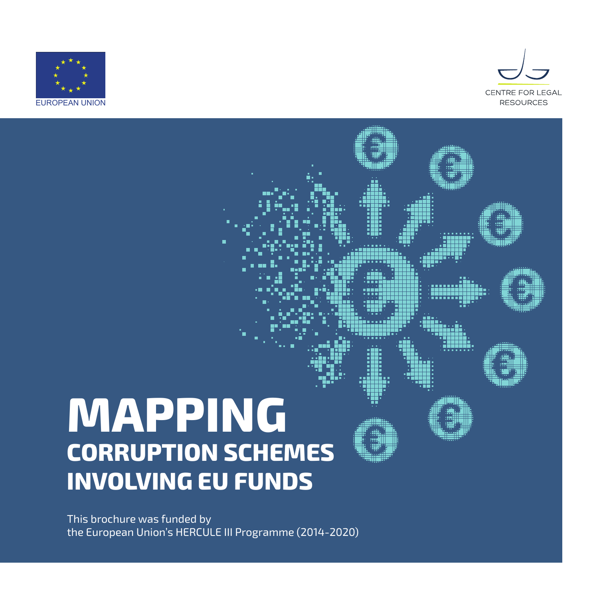



# **MAPPING CORRUPTION SCHEMES INVOLVING EU FUNDS**

This brochure was funded by the European Union's HERCULE III Programme (2014-2020)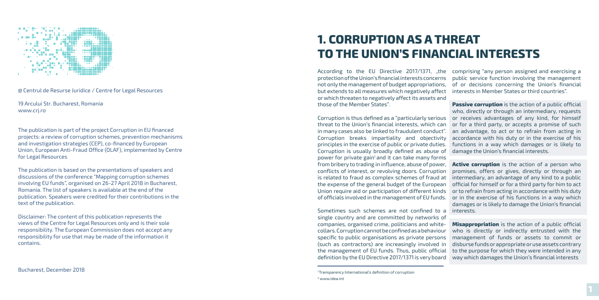

@ Centrul de Resurse Juridice / Centre for Legal Resources

19 Arcului Str. Bucharest, Romania www.crj.ro

The publication is part of the project Corruption in EU financed projects: a review of corruption schemes, prevention mechanisms and investigation strategies (CEP), co-financed by European Union, European Anti-Fraud Office (OLAF), implemented by Centre for Legal Resources

The publication is based on the presentations of speakers and discussions of the conference "Mapping corruption schemes involving EU funds", organised on 26-27 April 2018 in Bucharest, Romania. The list of speakers is available at the end of the publication. Speakers were credited for their contributions in the text of the publication.

Disclaimer: The content of this publication represents the views of the Centre for Legal Resources only and is their sole responsibility. The European Commission does not accept any responsibility for use that may be made of the information it contains.

According to the EU Directive 2017/1371, "the comprising "any person assigned and exercising a protection of the Union's financial interests concerns not only the management of budget appropriations, but extends to all measures which negatively affect or which threaten to negatively affect its assets and those of the Member States". public service function involving the management of or decisions concerning the Union's financial interests in Member States or third countries". **Passive corruption** is the action of a public official

Corruption is thus defined as a "particularly serious threat to the Union's financial interests, which can in many cases also be linked to fraudulent conduct". Corruption breaks impartiality and objectivity principles in the exercise of public or private duties. Corruption is usually broadly defined as abuse of power for private gain<sup>1</sup> and it can take many forms from bribery to trading in influence, abuse of power, conflicts of interest, or revolving doors. Corruption is related to fraud as complex schemes of fraud at intermediary, an advantage of any kind to a public the expense of the general budget of the European Union require aid or participation of different kinds of officials involved in the management of EU funds. who, directly or through an intermediary, requests or receives advantages of any kind, for himself or for a third party, or accepts a promise of such an advantage, to act or to refrain from acting in accordance with his duty or in the exercise of his functions in a way which damages or is likely to damage the Union's financial interests. **Active corruption** is the action of a person who promises, offers or gives, directly or through an official for himself or for a third party for him to act or to refrain from acting in accordance with his duty or in the exercise of his functions in a way which damages or is likely to damage the Union's financial

Sometimes such schemes are not confined to a interests. single country and are committed by networks of companies, organised crime, politicians and whitecollars. Corruption cannot be confined as a behaviour specific to public organisations as private persons (such as contractors) are increasingly involved in the management of EU funds. Thus, public official definition by the EU Directive 2017/1371 is very board **Misappropriation** is the action of a public official who is directly or indirectly entrusted with the management of funds or assets to commit or disburse funds or appropriate or use assets contrary to the purpose for which they were intended in any way which damages the Union's financial interests

# **1. CORRUPTION AS A THREAT TO THE UNION'S FINANCIAL INTERESTS**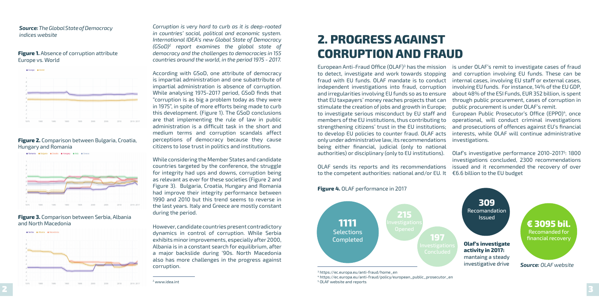● Serbia ● Albania ● Macedonia



*Corruption is very hard to curb as it is deep-rooted in countries' social, political and economic system. International IDEA's new Global State of Democracy (GSoD)2 report examines the global state of democracy and the challenges to democracies in 155 countries around the world, in the period 1975 - 2017.* 

According with GSoD, one attribute of democracy is impartial administration and one subattribute of impartial administration is absence of corruption. While analysing 1975-2017 period, GSoD finds that "corruption is as big a problem today as they were in 1975", in spite of more efforts being made to curb this development. (Figure 1). The GSoD conclusions are that implementing the rule of law in public administration is a difficult task in the short and medium terms and corruption scandals affect perceptions of democracy because they cause citizens to lose trust in politics and institutions.

While considering the Member States and candidate countries targeted by the conference, the struggle for integrity had ups and downs, corruption being as relevant as ever for these societies (Figure 2 and Figure 3). Bulgaria, Croatia, Hungary and Romania had improve their integrity performance between 1990 and 2010 but this trend seems to reverse in the last years. Italy and Greece are mostly constant during the period.

However, candidate countries present contradictory dynamics in control of corruption. While Serbia exhibits minor improvements, especially after 2000, Albania is in a constant search for equilibrium, after a major backslide during '90s. North Macedonia also has more challenges in the progress against corruption.

#### **Figure 1.** Absence of corruption attribute Europe vs. World



### **Figure 2.** Comparison between Bulgaria, Croatia, Hungary and Romania



### **Figure 3.** Comparison between Serbia, Albania and North Macedonia

### *Source: The Global State of Democracy indices website*

OLAF sends its reports and its recommendations to the competent authorities: national and/or EU. It investigations concluded, 2300 recommendations issued and it recommended the recovery of over €6.6 billion to the EU budget

# **2. PROGRESS AGAINST CORRUPTION AND FRAUD**

European Anti-Fraud Office  $(OLAF)^3$  has the mission to detect, investigate and work towards stopping fraud with EU funds. OLAF mandate is to conduct independent investigations into fraud, corruption and irregularities involving EU funds so as to ensure that EU taxpayers' money reaches projects that can stimulate the creation of jobs and growth in Europe; to investigate serious misconduct by EU staff and members of the EU institutions, thus contributing to strengthening citizens' trust in the EU institutions; to develop EU policies to counter fraud. OLAF acts only under administrative law, its recommendations being either financial, judicial (only to national authorities) or disciplinary (only to EU institutions). is under OLAF's remit to investigate cases of fraud and corruption involving EU funds. These can be internal cases, involving EU staff or external cases, involving EU funds. For instance, 14% of the EU GDP, about 48% of the ESI Funds, EUR 352 billion, is spent through public procurement, cases of corruption in public procurement is under OLAF's remit. European Public Prosecutor's Office (EPPO)<sup>4</sup>, once operational, will conduct criminal investigations and prosecutions of offences against EU's financial interests, while OLAF will continue administrative investigations. Olaf's investigative performance 2010-2017<sup>5</sup>: 1800

### **Figure 4.** OLAF performance in 2017

3 https://ec.europa.eu/anti-fraud/home\_en



4 https://ec.europa.eu/anti-fraud/policy/european\_public\_prosecutor\_en 5 OLAF website and reports

<sup>2</sup> www.idea.int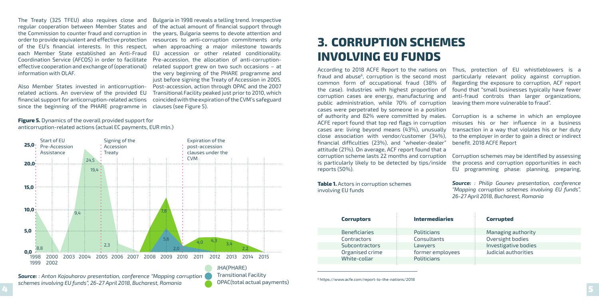The Treaty (325 TFEU) also requires close and regular cooperation between Member States and the Commission to counter fraud and corruption in order to provide equivalent and effective protection of the EU's financial interests. In this respect, each Member State established an Anti-Fraud Coordination Service (AFCOS) in order to facilitate effective cooperation and exchange of (operational) information with OLAF.

Also Member States invested in anticorruptionrelated actions. An overview of the provided EU financial support for anticorruption-related actions since the beginning of the PHARE programme in

4 5 *Source: : Anton Kojouharov presentation, conference "Mapping corruption schemes involving EU funds", 26-27 April 2018, Bucharest, Romania*

Bulgaria in 1998 reveals a telling trend. Irrespective of the actual amount of financial support through the years, Bulgaria seems to devote attention and resources to anti-corruption commitments only when approaching a major milestone towards EU accession or other related conditionality. Pre-accession, the allocation of anti-corruptionrelated support grew on two such occasions – at the very beginning of the PHARE programme and just before signing the Treaty of Accession in 2005. Post-accession, action through OPAC and the 2007 Transitional Facility peaked just prior to 2010, which coincided with the expiration of the CVM's safeguard clauses (see Figure 5).

**Figure 5.** Dynamics of the overall provided support for anticorruption-related actions (actual EC payments, EUR mln.)

> JHA(PHARE) Transitional Facility OPAC(total actual payments)



According to 2018 ACFE Report to the nations on fraud and abuse $6$ , corruption is the second most common form of occupational fraud (38% of the case). Industries with highest proportion of corruption cases are energy, manufacturing and public administration, while 70% of corruption cases were perpetrated by someone in a position of authority and 82% were committed by males. ACFE report found that top red flags in corruption cases are: living beyond means (43%), unusually close association with vendor/customer (34%), financial difficulties (23%), and "wheeler-dealer" attitude (21%). On average, ACF report found that a corruption scheme lasts 22 months and corruption is particularly likely to be detected by tips/inside reports (50%). Thus, protection of EU whistleblowers is a particularly relevant policy against corruption. Regarding the exposure to corruption, ACF report found that "small businesses typically have fewer anti-fraud controls than larger organizations, leaving them more vulnerable to fraud". Corruption is a scheme in which an employee misuses his or her influence in a business transaction in a way that violates his or her duty to the employer in order to gain a direct or indirect benefit. 2018 ACFE Report Corruption schemes may be identified by assessing the process and corruption opportunities in each EU programming phase: planning, preparing,

**Table 1.** Actors in corruption schemes involving EU funds

*Source: : Philip Gounev presentation, conference "Mapping corruption schemes involving EU funds", 26-27 April 2018, Bucharest, Romania*

# **3. CORRUPTION SCHEMES INVOLVING EU FUNDS**

| <b>Corruptors</b>     | <b>Intermediaries</b> | <b>Corrupted</b>     |
|-----------------------|-----------------------|----------------------|
| <b>Beneficiaries</b>  | Politicians           | Managing authority   |
| Contractors           | Consultants           | Oversight bodies     |
| <b>Subcontractors</b> | Lawyers               | Investigative bodies |
| Organised crime       | former employees      | Judicial authorities |
| White-collar          | <b>Politicians</b>    |                      |

6 https://www.acfe.com/report-to-the-nations/2018

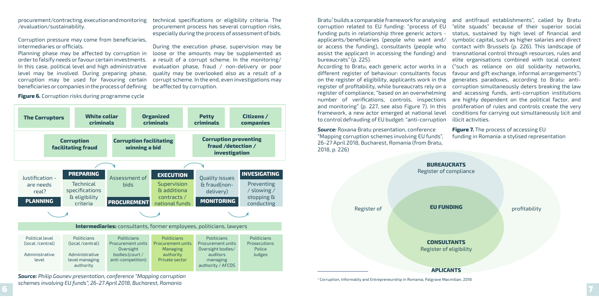procurement/contracting, execution and monitoring /evaluation/sustainability.

Corruption pressure may come from beneficiaries, intermediaries or officials.

Planning phase may be affected by corruption in order to falsify needs or favour certain investments. In this case, political level and high administrative level may be involved. During preparing phase, corruption may be used for favouring certain beneficiaries or companies in the process of defining

**Figure 6.** Corruption risks during programme cycle

technical specifications or eligibility criteria. The procurement process has several corruption risks, especially during the process of assessment of bids.

 $\overline{\mathbf{5}}$  , and the set of  $\overline{\mathbf{7}}$ *Source: Philip Gounev presentation, conference "Mapping corruption schemes involving EU funds", 26-27 April 2018, Bucharest, Romania*

During the execution phase, supervision may be loose or the amounts may be supplemented as a result of a corrupt scheme. In the monitoring/ evaluation phase, fraud / non-delivery or poor quality may be overlooked also as a result of a corrupt scheme. In the end, even investigations may be affected by corruption.



Bratu7 builds a comparable framework for analysing corruption related to EU funding: "process of EU funding puts in relationship three generic actors applicants/beneficiaries (people who want and/ or access the funding), consultants (people who assist the applicant in accessing the funding) and bureaucrats" (p. 225). According to Bratu, each generic actor works in a different register of behaviour: consultants focus on the register of eligibility, applicants work in the register of profitability, while bureaucrats rely on a register of compliance, "based on an overwhelming number of verifications, controls, inspections and monitoring" (p. 227, see also Figure 7). In this framework, a new actor emerged at national level to control defrauding of EU budget: "anti-corruption

and antifraud establishments", called by Bratu "elite squads" because of their superior social status, sustained by high level of financial and symbolic capital, such as higher salaries and direct contact with Brussels (p. 226). This landscape of transnational control through resources, rules and elite organisations combined with local context ("such as reliance on old solidarity networks, favour and gift exchange, informal arrangements") generates paradoxes, according to Bratu: anticorruption simultaneously deters breaking the law and accessing funds, anti-corruption institutions are highly dependent on the political factor, and proliferation of rules and controls create the very conditions for carrying out simultaneously licit and illicit activities.

**Figure 7.** The process of accessing EU funding in Romania: a stylised representation *Source:* Roxana Bratu presentation, conference "Mapping corruption schemes involving EU funds", 26-27 April 2018, Bucharest, Romania (from Bratu, 2018, p. 226)



7 Corruption, Informality and Entrepreneurship in Romania, Palgrave Macmillan, 2018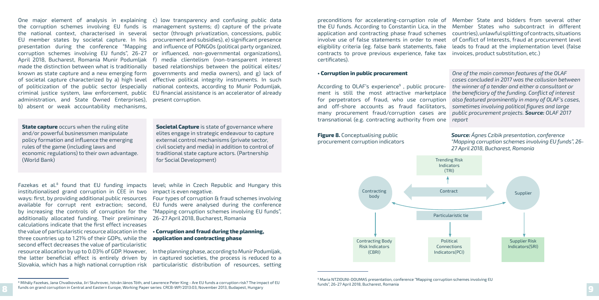One major element of analysis in explaining the corruption schemes involving EU funds is the national context, characterised in several EU member states by societal capture. In his presentation during the conference "Mapping corruption schemes involving EU funds", 26-27 April 2018, Bucharest, Romania Munir Podumljak made the distinction between what is traditionally known as state capture and a new emerging form of societal capture characterized by a) high level of politicization of the public sector (especially criminal justice system, law enforcement, public administration, and State Owned Enterprises), b) absent or weak accountability mechanisms,

**State capture** occurs when the ruling elite and/or powerful businessmen manipulate policy formation and influence the emerging rules of the game (including laws and economic regulations) to their own advantage. (World Bank)

**Societal Capture** is state of governance where elites engage in strategic endeavour to capture external control mechanisms (private sector, civil society and media) in addition to control of traditional state capture actors. (Partnership for Social Development)

c) low transparency and confusing public data management systems; d) capture of the private sector (through privatization, concessions, public procurement and subsidies), e) significant presence and influence of PONGOs (political party organized, or influenced, non-governmental organizations), f) media clientelism (non-transparent interest based relationships between the political elites/ governments and media owners), and g) lack of effective political integrity instruments. In such national contexts, according to Munir Podumljak, EU financial assistance is an accelerator of already present corruption.

Fazekas et al.<sup>8</sup> found that EU funding impacts institutionalised grand corruption in CEE in two ways: first, by providing additional public resources available for corrupt rent extraction; second, by increasing the controls of corruption for the additionally allocated funding. Their preliminary calculations indicate that the first effect increases the value of particularistic resource allocation in the three countries up to 1.21% of their GDPs, while the second effect decreases the value of particularistic the latter beneficial effect is entirely driven by Slovakia, which has a high national corruption risk

level; while in Czech Republic and Hungary this impact is even negative.

> <sup>9</sup> Maria NTZIOUNI-DOUMAS presentation, conference "Mapping corruption schemes involving EU funds", 26-27 April 2018, Bucharest, Romania

Four types of corruption & fraud schemes involving EU funds were analysed during the conference "Mapping corruption schemes involving EU funds", 26-27 April 2018, Bucharest, Romania

resource allocation by up to 0.03% of GDP. However, In the planning phase, according to Munir Podumljak, in captured societies, the process is reduced to a particularistic distribution of resources, setting

#### **• Corruption and fraud during the planning, application and contracting phase**

preconditions for accelerating-corruption role of the EU funds. According to Constantin Lica, in the application and contracting phase fraud schemes involve use of false statements in order to meet eligibility criteria (eg. false bank statements, fake contracts to prove previous experience, fake tax certificates). Member State and bidders from several other Member States who subcontract in different countries), unlawful splitting of contracts, situations of Conflict of Interests, fraud at procurement level leads to fraud at the implementation level (false invoices, product substitution, etc.)

**• Corruption in public procurement** According to OLAF's experience<sup>9</sup>, public procurement is still the most attractive marketplace for perpetrators of fraud, who use corruption and off-shore accounts as fraud facilitators, many procurement fraud/corruption cases are transnational (e.g. contracting authority from one *One of the main common features of the OLAF cases concluded in 2017 was the collusion between the winner of a tender and either a consultant or the beneficiary of the funding. Conflict of interest also featured prominently in many of OLAF's cases, sometimes involving political figures and large public procurement projects. Source: OLAF 2017 report*

> *Source: Ágnes Czibik presentation, conference "Mapping corruption schemes involving EU funds", 26-*



<sup>8</sup> 9 funds on grand corruption in Central and Eastern Europe, Working Paper series: CRCB-WP/2013:03, November 2013, Budapest, Hungary <sup>8</sup> Mihály Fazekas, Jana Chvalkovska, Jiri Skuhrovec, István János Tóth, and Lawrence Peter King - Are EU funds a corruption risk? The impact of EU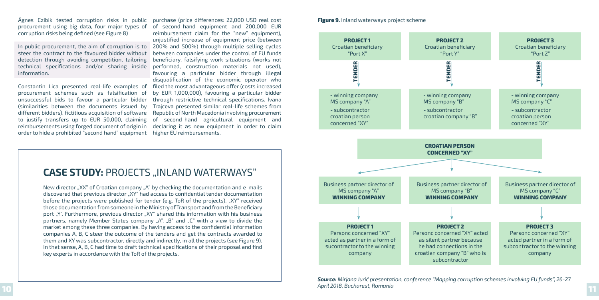Ágnes Czibik tested corruption risks in public purchase (price differences: 22,000 USD real cost procurement using big data, four major types of corruption risks being defined (see Figure 8)

In public procurement, the aim of corruption is to 200% and 500%) through multiple selling cycles steer the contract to the favoured bidder without detection through avoiding competition, tailoring beneficiary, falsifying work situations (works not technical specifications and/or sharing inside information.

Constantin Lica presented real-life examples of filed the most advantageous offer (costs increased procurement schemes such as falsification of unsuccessful bids to favour a particular bidder (similarities between the documents issued by different bidders), fictitious acquisition of software to justify transfers up to EUR 50,000, claiming of second-hand agricultural equipment and reimbursements using forged document of origin in order to hide a prohibited "second hand" equipment higher EU reimbursements.

of second-hand equipment and 200,000 EUR reimbursement claim for the "new" equipment), unjustified increase of equipment price (between between companies under the control of EU funds performed, construction materials not used), favouring a particular bidder through illegal disqualification of the economic operator who by EUR 1,000,000), favouring a particular bidder through restrictive technical specifications. Ivana Trajceva presented similar real-life schemes from Republic of North Macedonia involving procurement declaring it as new equipment in order to claim

New director "XX" of Croatian company "A" by checking the documentation and e-mails discovered that previous director "XY" had access to confidential tender documentation before the projects were published for tender (e.g. ToR of the projects). "XY" received those documentation from someone in the Ministry of Transport and from the Beneficiary port "Y". Furthermore, previous director "XY" shared this information with his business partners, namely Member States company "A", "B" and "C" with a view to divide the market among these three companies. By having access to the confidential information companies A, B, C steer the outcome of the tenders and get the contracts awarded to them and XY was subcontractor, directly and indirectly, in all the projects (see Figure 9). In that sense, A, B, C had time to draft technical specifications of their proposal and find key experts in accordance with the ToR of the projects.







### **CASE STUDY: PROJECTS "INLAND WATERWAYS"**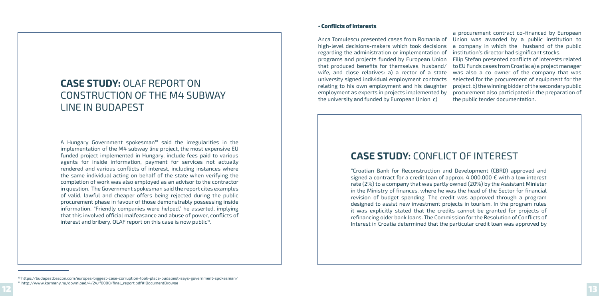## **CASE STUDY:** OLAF REPORT ON CONSTRUCTION OF THE M4 SUBWAY LINE IN BUDAPEST

A Hungary Government spokesman<sup>10</sup> said the irregularities in the implementation of the M4 subway line project, the most expensive EU funded project implemented in Hungary, include fees paid to various agents for inside information, payment for services not actually rendered and various conflicts of interest, including instances where the same individual acting on behalf of the state when verifying the completion of work was also employed as an advisor to the contractor in question. The Government spokesman said the report cites examples of valid, lawful and cheaper offers being rejected during the public procurement phase in favour of those demonstrably possessing inside information. "Friendly companies were helped," he asserted, implying that this involved official malfeasance and abuse of power, conflicts of interest and bribery. OLAF report on this case is now public<sup>11</sup>.

## **CASE STUDY:** CONFLICT OF INTEREST

"Croatian Bank for Reconstruction and Development (CBRD) approved and signed a contract for a credit loan of approx.  $4.000.000 \in \text{with a low interest}$ rate (2%) to a company that was partly owned (20%) by the Assistant Minister in the Ministry of finances, where he was the head of the Sector for financial revision of budget spending. The credit was approved through a program designed to assist new investment projects in tourism. In the program rules it was explicitly stated that the credits cannot be granted for projects of refinancing older bank loans. The Commission for the Resolution of Conflicts of Interest in Croatia determined that the particular credit loan was approved by

#### **• Conflicts of interests**

Anca Tomulescu presented cases from Romania of high-level decisions-makers which took decisions regarding the administration or implementation of programs and projects funded by European Union that produced benefits for themselves, husband/ wife, and close relatives: a) a rector of a state university signed individual employment contracts relating to his own employment and his daughter employment as experts in projects implemented by the university and funded by European Union; c) a company in which the husband of the public institution's director had significant stocks. Filip Stefan presented conflicts of interests related to EU Funds cases from Croatia: a) a project manager was also a co owner of the company that was selected for the procurement of equipment for the project, b) the winning bidder of the secondary public procurement also participated in the preparation of the public tender documentation.

a procurement contract co-financed by European Union was awarded by a public institution to

<sup>10</sup> https://budapestbeacon.com/europes-biggest-case-corruption-took-place-budapest-says-government-spokesman/

<sup>11</sup>http://www.kormany.hu/download/4/24/f0000/final\_report.pdf#!DocumentBrowse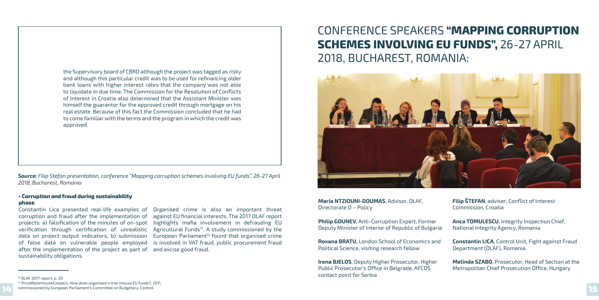#### **• Corruption and fraud during sustainability phase**

Constantin Lica presented real-life examples of corruption and fraud after the implementation of projects: a) falsification of the minutes of on-spot highlights mafia involvement in defrauding EU verification through certification of unrealistic Agricultural Funds<sup>12</sup>. A study commissioned by the data on project output indicators, b) submission of false data on vulnerable people employed after the implementation of the project as part of sustainability obligations.

Organised crime is also an important threat against EU financial interests. The 2017 OLAF report European Parliament $13$  found that organised crime is involved in VAT fraud, public procurement fraud and excise good fraud.

the Supervisory board of CBRD although the project was tagged as risky and although this particular credit was to be used for refinancing older bank loans with higher interest rates that the company was not able to liquidate in due time. The Commission for the Resolution of Conflicts of Interest in Croatia also determined that the Assistant Minister was himself the guarantor for the approved credit through mortgage on his real estate. Because of this fact the Commission concluded that he had to come familiar with the terms and the program in which the credit was approved.

*Source: Filip Stefan presentation, conference "Mapping corruption schemes involving EU funds", 26-27 April 2018, Bucharest, Romania*

12 OLAF 2017 report, p. 20

14 15 commissioned by European Parliament's Committee on Budgetary, Control <sup>13</sup> PriceWaterhouseCoopers, How does organised crime misuse EU funds?, 2011,

# CONFERENCE SPEAKERS **"MAPPING CORRUPTION SCHEMES INVOLVING EU FUNDS",** 26-27 APRIL 2018, BUCHAREST, ROMANIA:



**Maria NTZIOUNI-DOUMAS**, Advisor, OLAF, Directorate D – Policy

**Philip GOUNEV**, Anti-Corruption Expert, Former Deputy Minister of Interior of Republic of Bulgaria

**Roxana BRATU,** London School of Economics and Political Science, visiting research fellow

**Irena BJELOS**, Deputy Higher Prosecutor, Higher Public Prosecutor's Office in Belgrade, AFCOS contact point for Serbia

**Filip ŠTEFAN**, adviser, Conflict of Interest Commission, Croatia

**Anca TOMULESCU**, Integrity Inspection Chief, National Integrity Agency, Romania

**Constantin LICA**, Control Unit, Fight against Fraud Department (DLAF), Romania

**Melinda SZABO**, Prosecutor, Head of Section at the Metropolitan Chief Prosecution Office, Hungary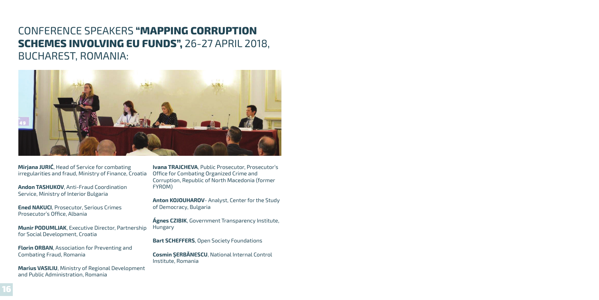## CONFERENCE SPEAKERS **"MAPPING CORRUPTION SCHEMES INVOLVING EU FUNDS",** 26-27 APRIL 2018, BUCHAREST, ROMANIA:



**Mirjana JURIĆ**, Head of Service for combating irregularities and fraud, Ministry of Finance, Croatia

**Andon TASHUKOV**, Anti-Fraud Coordination Service, Ministry of Interior Bulgaria

**Ened NAKUCI**, Prosecutor, Serious Crimes Prosecutor's Office, Albania

**Munir PODUMLJAK**, Executive Director, Partnership for Social Development, Croatia

**Florin ORBAN**, Association for Preventing and Combating Fraud, Romania

**Marius VASILIU**, Ministry of Regional Development and Public Administration, Romania

**Ivana TRAJCHEVA**, Public Prosecutor, Prosecutor's Office for Combating Organized Crime and Corruption, Republic of North Macedonia (former FYROM)

**Anton KOJOUHAROV**- Analyst, Center for the Study of Democracy, Bulgaria

**Ágnes CZIBIK**, Government Transparency Institute, Hungary

**Bart SCHEFFERS**, Open Society Foundations

**Cosmin ŞERBĂNESCU**, National Internal Control Institute, Romania